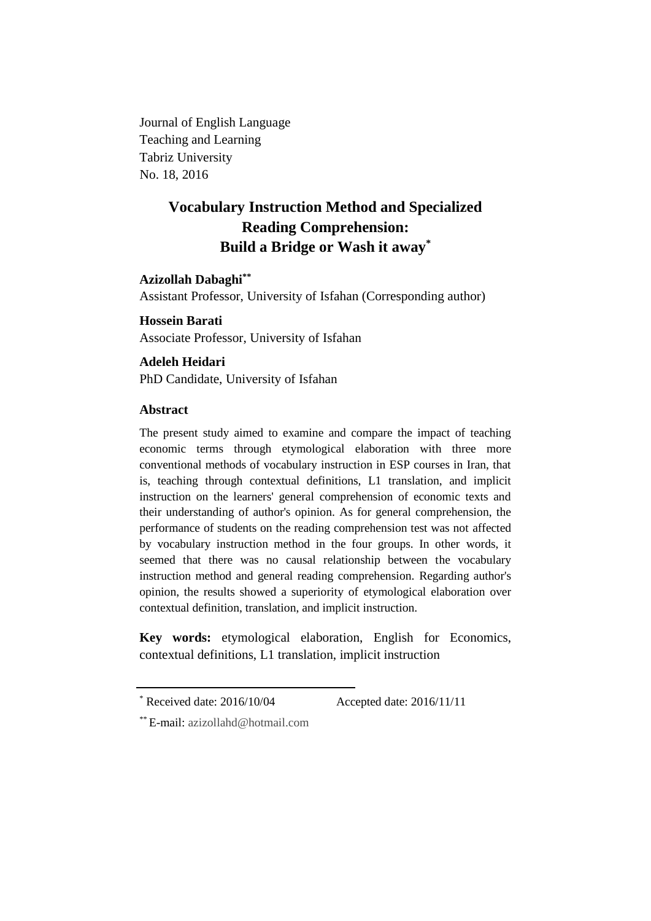Journal of English Language Teaching and Learning Tabriz University No. 18, 2016

# **Vocabulary Instruction Method and Specialized Reading Comprehension: Build a Bridge or Wash it away\***

# **Azizollah Dabaghi\*\***

Assistant Professor, University of Isfahan (Corresponding author)

**Hossein Barati** Associate Professor, University of Isfahan

# **Adeleh Heidari**

PhD Candidate, University of Isfahan

# **Abstract**

The present study aimed to examine and compare the impact of teaching economic terms through etymological elaboration with three more conventional methods of vocabulary instruction in ESP courses in Iran, that is, teaching through contextual definitions, L1 translation, and implicit instruction on the learners' general comprehension of economic texts and their understanding of author's opinion. As for general comprehension, the performance of students on the reading comprehension test was not affected by vocabulary instruction method in the four groups. In other words, it seemed that there was no causal relationship between the vocabulary instruction method and general reading comprehension. Regarding author's opinion, the results showed a superiority of etymological elaboration over contextual definition, translation, and implicit instruction.

**Key words:** etymological elaboration, English for Economics, contextual definitions, L1 translation, implicit instruction

Received date: 2016/10/04 Accepted date: 2016/11/11

<sup>\*\*</sup> E-mail: [azizollahd@hotmail.com](mailto:azizollahd@hotmail.com)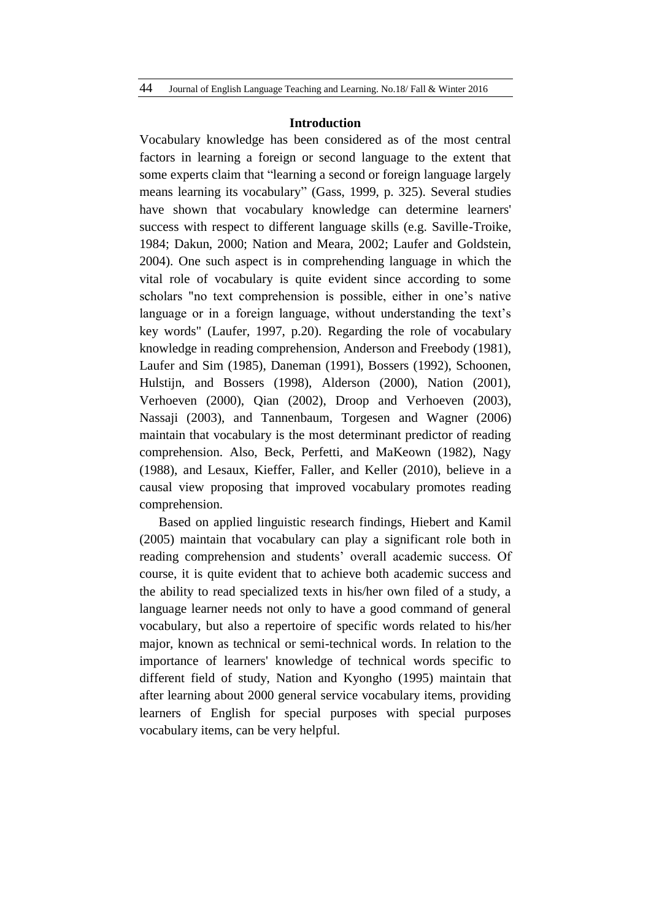#### **Introduction**

Vocabulary knowledge has been considered as of the most central factors in learning a foreign or second language to the extent that some experts claim that "learning a second or foreign language largely means learning its vocabulary" (Gass, 1999, p. 325). Several studies have shown that vocabulary knowledge can determine learners' success with respect to different language skills (e.g. Saville-Troike, 1984; Dakun, 2000; Nation and Meara, 2002; Laufer and Goldstein, 2004). One such aspect is in comprehending language in which the vital role of vocabulary is quite evident since according to some scholars "no text comprehension is possible, either in one's native language or in a foreign language, without understanding the text's key words" (Laufer, 1997, p.20). Regarding the role of vocabulary knowledge in reading comprehension, Anderson and Freebody (1981), Laufer and Sim (1985), Daneman (1991), Bossers (1992), Schoonen, Hulstijn, and Bossers (1998), Alderson (2000), Nation (2001), Verhoeven (2000), Qian (2002), Droop and Verhoeven (2003), Nassaji (2003), and Tannenbaum, Torgesen and Wagner (2006) maintain that vocabulary is the most determinant predictor of reading comprehension. Also, Beck, Perfetti, and MaKeown (1982), Nagy (1988), and Lesaux, Kieffer, Faller, and Keller (2010), believe in a causal view proposing that improved vocabulary promotes reading comprehension.

Based on applied linguistic research findings, Hiebert and Kamil (2005) maintain that vocabulary can play a significant role both in reading comprehension and students' overall academic success. Of course, it is quite evident that to achieve both academic success and the ability to read specialized texts in his/her own filed of a study, a language learner needs not only to have a good command of general vocabulary, but also a repertoire of specific words related to his/her major, known as technical or semi-technical words. In relation to the importance of learners' knowledge of technical words specific to different field of study, Nation and Kyongho (1995) maintain that after learning about 2000 general service vocabulary items, providing learners of English for special purposes with special purposes vocabulary items, can be very helpful.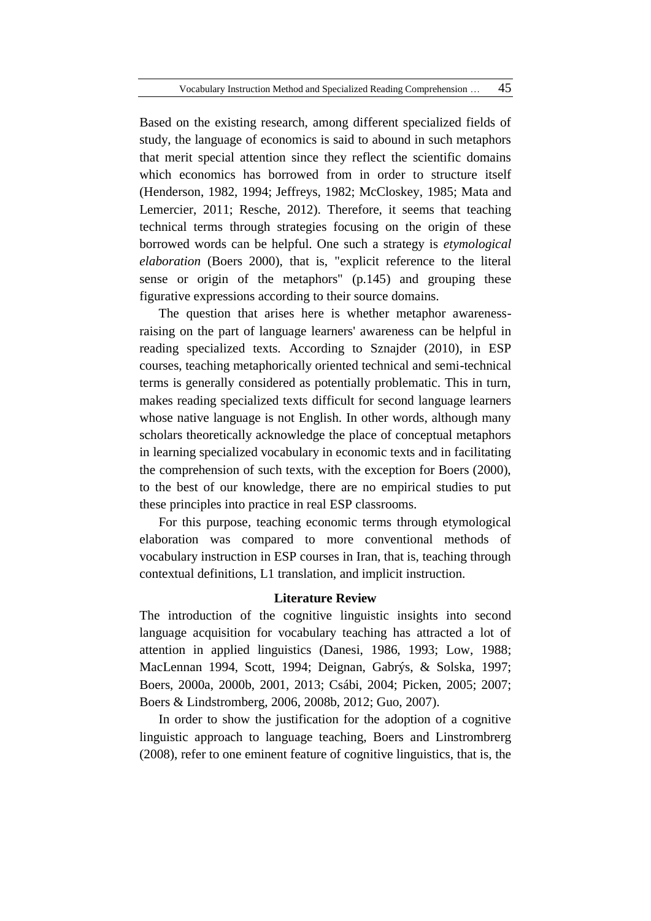Based on the existing research, among different specialized fields of study, the language of economics is said to abound in such metaphors that merit special attention since they reflect the scientific domains which economics has borrowed from in order to structure itself (Henderson, 1982, 1994; Jeffreys, 1982; McCloskey, 1985; Mata and Lemercier, 2011; Resche, 2012). Therefore, it seems that teaching technical terms through strategies focusing on the origin of these borrowed words can be helpful. One such a strategy is *etymological elaboration* (Boers 2000), that is, "explicit reference to the literal sense or origin of the metaphors" (p.145) and grouping these figurative expressions according to their source domains.

The question that arises here is whether metaphor awarenessraising on the part of language learners' awareness can be helpful in reading specialized texts. According to Sznajder (2010), in ESP courses, teaching metaphorically oriented technical and semi-technical terms is generally considered as potentially problematic. This in turn, makes reading specialized texts difficult for second language learners whose native language is not English. In other words, although many scholars theoretically acknowledge the place of conceptual metaphors in learning specialized vocabulary in economic texts and in facilitating the comprehension of such texts, with the exception for Boers (2000), to the best of our knowledge, there are no empirical studies to put these principles into practice in real ESP classrooms.

For this purpose, teaching economic terms through etymological elaboration was compared to more conventional methods of vocabulary instruction in ESP courses in Iran, that is, teaching through contextual definitions, L1 translation, and implicit instruction.

## **Literature Review**

The introduction of the cognitive linguistic insights into second language acquisition for vocabulary teaching has attracted a lot of attention in applied linguistics (Danesi, 1986, 1993; Low, 1988; MacLennan 1994, Scott, 1994; Deignan, Gabrýs, & Solska, 1997; Boers, 2000a, 2000b, 2001, 2013; Csábi, 2004; Picken, 2005; 2007; Boers & Lindstromberg, 2006, 2008b, 2012; Guo, 2007).

In order to show the justification for the adoption of a cognitive linguistic approach to language teaching, Boers and Linstrombrerg (2008), refer to one eminent feature of cognitive linguistics, that is, the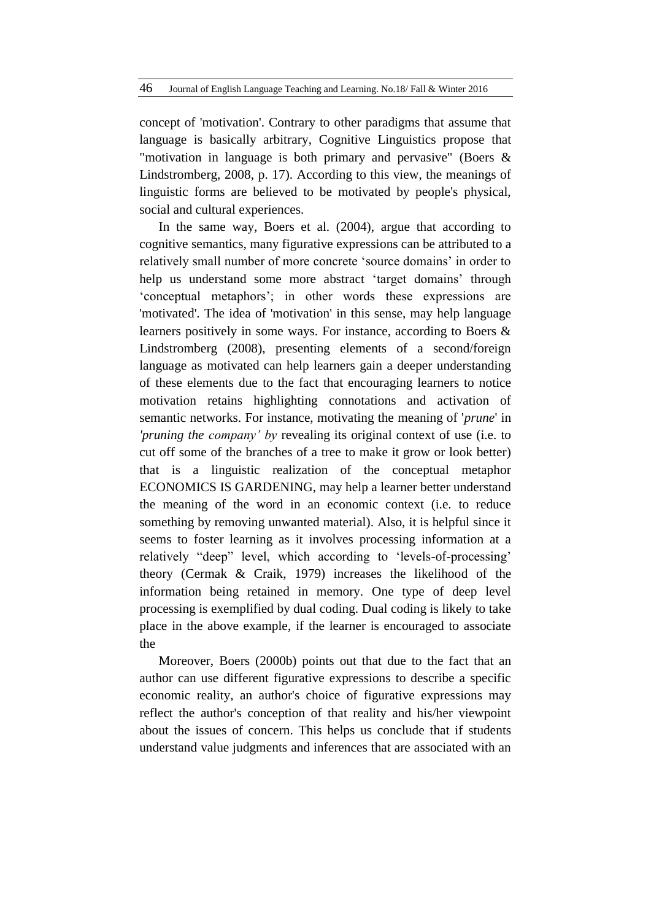concept of 'motivation'. Contrary to other paradigms that assume that language is basically arbitrary, Cognitive Linguistics propose that "motivation in language is both primary and pervasive" (Boers & Lindstromberg, 2008, p. 17). According to this view, the meanings of linguistic forms are believed to be motivated by people's physical, social and cultural experiences.

In the same way, Boers et al. (2004), argue that according to cognitive semantics, many figurative expressions can be attributed to a relatively small number of more concrete 'source domains' in order to help us understand some more abstract 'target domains' through 'conceptual metaphors'; in other words these expressions are 'motivated'. The idea of 'motivation' in this sense, may help language learners positively in some ways. For instance, according to Boers & Lindstromberg (2008), presenting elements of a second/foreign language as motivated can help learners gain a deeper understanding of these elements due to the fact that encouraging learners to notice motivation retains highlighting connotations and activation of semantic networks. For instance, motivating the meaning of '*prune*' in *'pruning the company' by* revealing its original context of use (i.e. to cut off some of the branches of a tree to make it grow or look better) that is a linguistic realization of the conceptual metaphor ECONOMICS IS GARDENING, may help a learner better understand the meaning of the word in an economic context (i.e. to reduce something by removing unwanted material). Also, it is helpful since it seems to foster learning as it involves processing information at a relatively "deep" level, which according to 'levels-of-processing' theory (Cermak & Craik, 1979) increases the likelihood of the information being retained in memory. One type of deep level processing is exemplified by dual coding. Dual coding is likely to take place in the above example, if the learner is encouraged to associate the

Moreover, Boers (2000b) points out that due to the fact that an author can use different figurative expressions to describe a specific economic reality, an author's choice of figurative expressions may reflect the author's conception of that reality and his/her viewpoint about the issues of concern. This helps us conclude that if students understand value judgments and inferences that are associated with an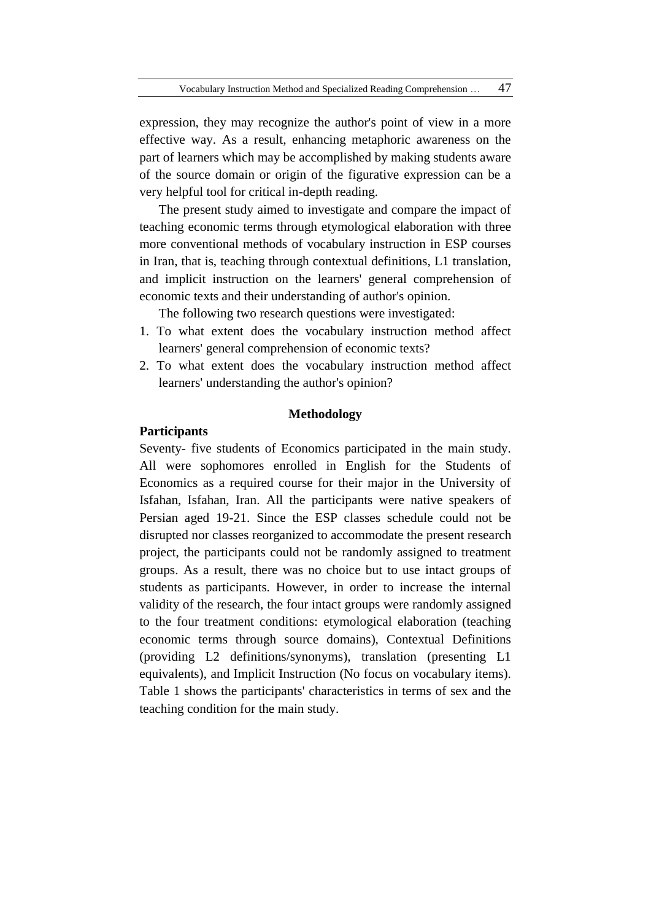expression, they may recognize the author's point of view in a more effective way. As a result, enhancing metaphoric awareness on the part of learners which may be accomplished by making students aware of the source domain or origin of the figurative expression can be a very helpful tool for critical in-depth reading.

The present study aimed to investigate and compare the impact of teaching economic terms through etymological elaboration with three more conventional methods of vocabulary instruction in ESP courses in Iran, that is, teaching through contextual definitions, L1 translation, and implicit instruction on the learners' general comprehension of economic texts and their understanding of author's opinion.

The following two research questions were investigated:

- 1. To what extent does the vocabulary instruction method affect learners' general comprehension of economic texts?
- 2. To what extent does the vocabulary instruction method affect learners' understanding the author's opinion?

# **Methodology**

# **Participants**

Seventy- five students of Economics participated in the main study. All were sophomores enrolled in English for the Students of Economics as a required course for their major in the University of Isfahan, Isfahan, Iran. All the participants were native speakers of Persian aged 19-21. Since the ESP classes schedule could not be disrupted nor classes reorganized to accommodate the present research project, the participants could not be randomly assigned to treatment groups. As a result, there was no choice but to use intact groups of students as participants. However, in order to increase the internal validity of the research, the four intact groups were randomly assigned to the four treatment conditions: etymological elaboration (teaching economic terms through source domains), Contextual Definitions (providing L2 definitions/synonyms), translation (presenting L1 equivalents), and Implicit Instruction (No focus on vocabulary items). Table 1 shows the participants' characteristics in terms of sex and the teaching condition for the main study.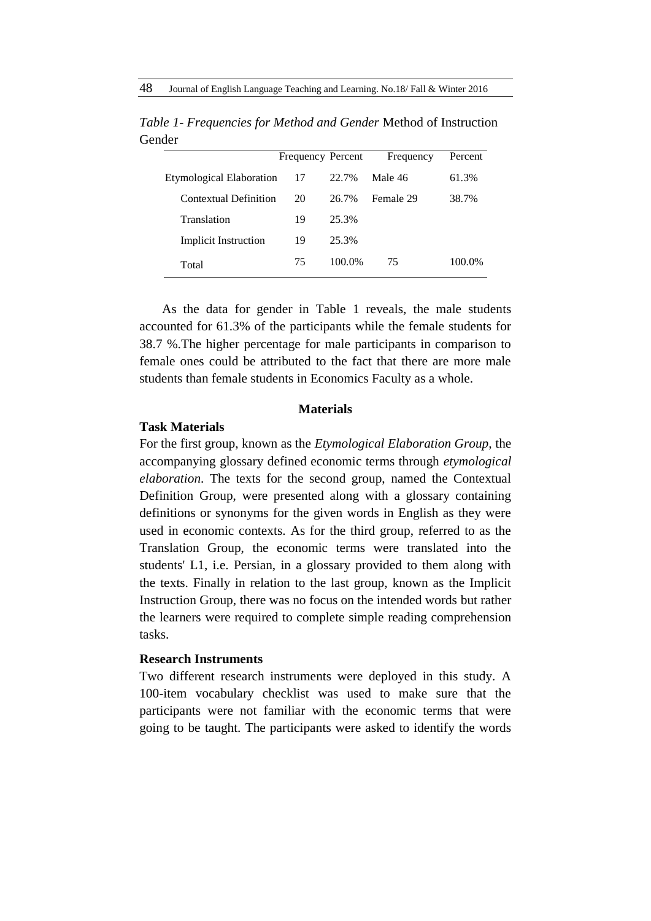|                             | Frequency Percent |        | Frequency | Percent |
|-----------------------------|-------------------|--------|-----------|---------|
| Etymological Elaboration    | 17                | 22.7%  | Male 46   | 61.3%   |
| Contextual Definition       | 20                | 26.7%  | Female 29 | 38.7%   |
| Translation                 | 19                | 25.3%  |           |         |
| <b>Implicit Instruction</b> | 19                | 25.3%  |           |         |
| Total                       | 75                | 100.0% | 75        | 100.0%  |

*Table 1- Frequencies for Method and Gender* Method of Instruction Gender

As the data for gender in Table 1 reveals, the male students accounted for 61.3% of the participants while the female students for 38.7 %.The higher percentage for male participants in comparison to female ones could be attributed to the fact that there are more male students than female students in Economics Faculty as a whole.

#### **Materials**

# **Task Materials**

For the first group, known as the *Etymological Elaboration Group,* the accompanying glossary defined economic terms through *etymological elaboration*. The texts for the second group, named the Contextual Definition Group, were presented along with a glossary containing definitions or synonyms for the given words in English as they were used in economic contexts. As for the third group, referred to as the Translation Group, the economic terms were translated into the students' L1, i.e. Persian, in a glossary provided to them along with the texts. Finally in relation to the last group, known as the Implicit Instruction Group, there was no focus on the intended words but rather the learners were required to complete simple reading comprehension tasks.

#### **Research Instruments**

Two different research instruments were deployed in this study. A 100-item vocabulary checklist was used to make sure that the participants were not familiar with the economic terms that were going to be taught. The participants were asked to identify the words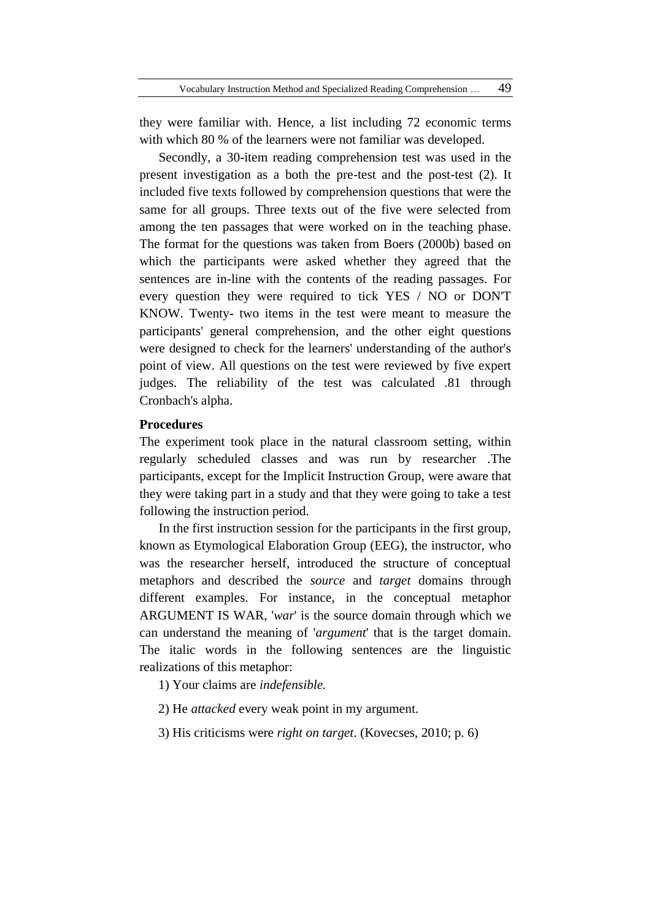they were familiar with. Hence, a list including 72 economic terms with which 80 % of the learners were not familiar was developed.

Secondly, a 30-item reading comprehension test was used in the present investigation as a both the pre-test and the post-test (2). It included five texts followed by comprehension questions that were the same for all groups. Three texts out of the five were selected from among the ten passages that were worked on in the teaching phase. The format for the questions was taken from Boers (2000b) based on which the participants were asked whether they agreed that the sentences are in-line with the contents of the reading passages. For every question they were required to tick YES / NO or DON'T KNOW. Twenty- two items in the test were meant to measure the participants' general comprehension, and the other eight questions were designed to check for the learners' understanding of the author's point of view. All questions on the test were reviewed by five expert judges. The reliability of the test was calculated .81 through Cronbach's alpha.

# **Procedures**

The experiment took place in the natural classroom setting, within regularly scheduled classes and was run by researcher .The participants, except for the Implicit Instruction Group, were aware that they were taking part in a study and that they were going to take a test following the instruction period.

In the first instruction session for the participants in the first group, known as Etymological Elaboration Group (EEG), the instructor, who was the researcher herself, introduced the structure of conceptual metaphors and described the *source* and *target* domains through different examples. For instance, in the conceptual metaphor ARGUMENT IS WAR, '*war*' is the source domain through which we can understand the meaning of '*argument*' that is the target domain. The italic words in the following sentences are the linguistic realizations of this metaphor:

1) Your claims are *indefensible.*

2) He *attacked* every weak point in my argument.

3) His criticisms were *right on target*. (Kovecses, 2010; p. 6)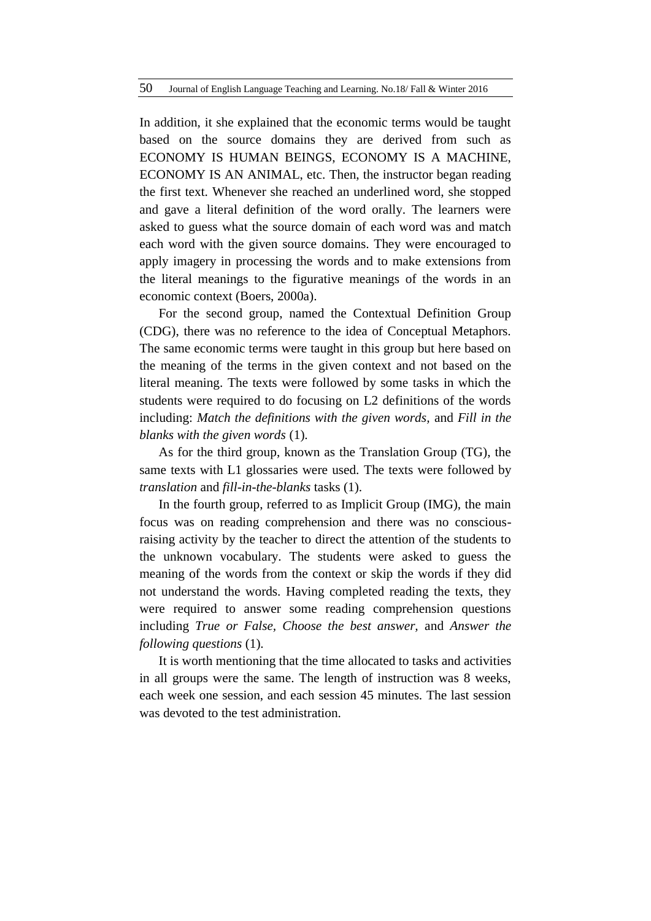In addition, it she explained that the economic terms would be taught based on the source domains they are derived from such as ECONOMY IS HUMAN BEINGS, ECONOMY IS A MACHINE, ECONOMY IS AN ANIMAL, etc. Then, the instructor began reading the first text. Whenever she reached an underlined word, she stopped and gave a literal definition of the word orally. The learners were asked to guess what the source domain of each word was and match each word with the given source domains. They were encouraged to apply imagery in processing the words and to make extensions from the literal meanings to the figurative meanings of the words in an economic context (Boers, 2000a).

For the second group, named the Contextual Definition Group (CDG), there was no reference to the idea of Conceptual Metaphors. The same economic terms were taught in this group but here based on the meaning of the terms in the given context and not based on the literal meaning. The texts were followed by some tasks in which the students were required to do focusing on L2 definitions of the words including: *Match the definitions with the given words,* and *Fill in the blanks with the given words* (1).

As for the third group, known as the Translation Group (TG), the same texts with L1 glossaries were used. The texts were followed by *translation* and *fill-in-the-blanks* tasks (1).

In the fourth group, referred to as Implicit Group (IMG), the main focus was on reading comprehension and there was no consciousraising activity by the teacher to direct the attention of the students to the unknown vocabulary. The students were asked to guess the meaning of the words from the context or skip the words if they did not understand the words. Having completed reading the texts, they were required to answer some reading comprehension questions including *True or False, Choose the best answer,* and *Answer the following questions* (1).

It is worth mentioning that the time allocated to tasks and activities in all groups were the same. The length of instruction was 8 weeks, each week one session, and each session 45 minutes. The last session was devoted to the test administration.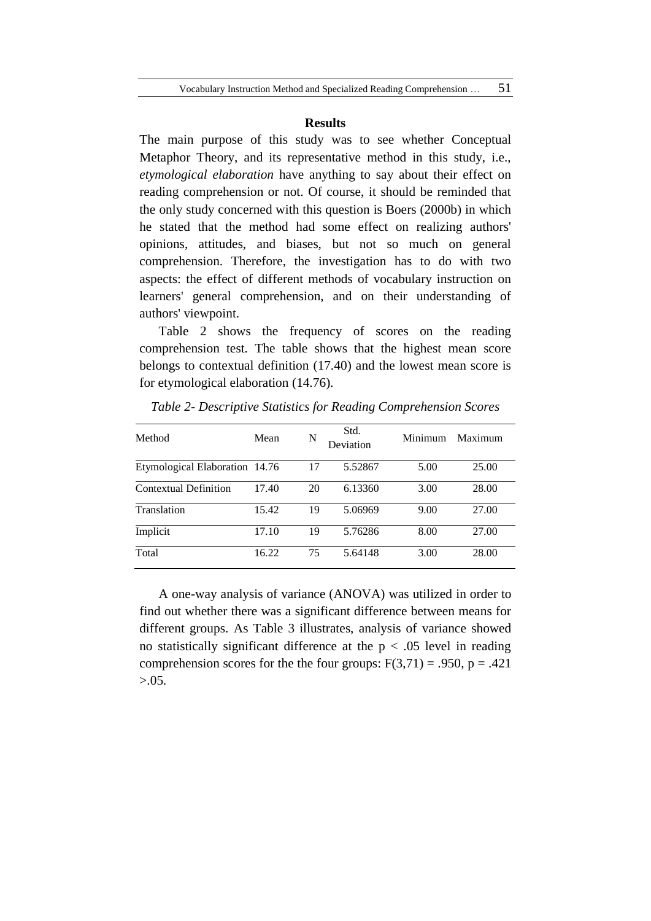#### **Results**

The main purpose of this study was to see whether Conceptual Metaphor Theory, and its representative method in this study, i.e., *etymological elaboration* have anything to say about their effect on reading comprehension or not. Of course, it should be reminded that the only study concerned with this question is Boers (2000b) in which he stated that the method had some effect on realizing authors' opinions, attitudes, and biases, but not so much on general comprehension. Therefore, the investigation has to do with two aspects: the effect of different methods of vocabulary instruction on learners' general comprehension, and on their understanding of authors' viewpoint.

Table 2 shows the frequency of scores on the reading comprehension test. The table shows that the highest mean score belongs to contextual definition (17.40) and the lowest mean score is for etymological elaboration (14.76).

| Method                         | Mean  | N  | Std.<br>Deviation | Minimum | Maximum |
|--------------------------------|-------|----|-------------------|---------|---------|
| Etymological Elaboration 14.76 |       | 17 | 5.52867           | 5.00    | 25.00   |
| <b>Contextual Definition</b>   | 17.40 | 20 | 6.13360           | 3.00    | 28.00   |
| <b>Translation</b>             | 15.42 | 19 | 5.06969           | 9.00    | 27.00   |
| Implicit                       | 17.10 | 19 | 5.76286           | 8.00    | 27.00   |
| Total                          | 16.22 | 75 | 5.64148           | 3.00    | 28.00   |

*Table 2- Descriptive Statistics for Reading Comprehension Scores*

A one-way analysis of variance (ANOVA) was utilized in order to find out whether there was a significant difference between means for different groups. As Table 3 illustrates, analysis of variance showed no statistically significant difference at the  $p < .05$  level in reading comprehension scores for the the four groups:  $F(3,71) = .950$ , p = .421  $> 0.05$ .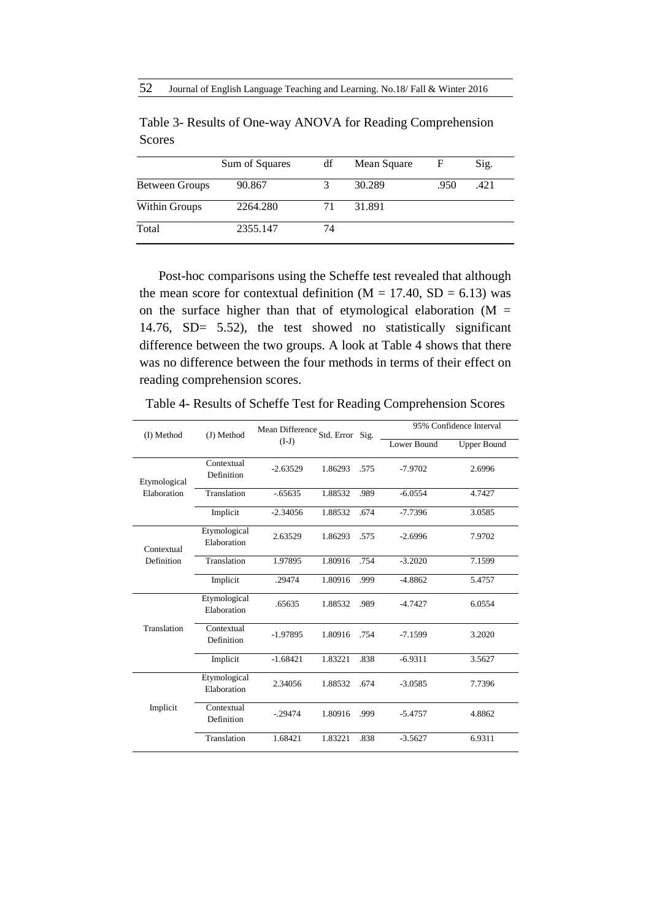|                | Sum of Squares | df | Mean Square | F    | Sig. |
|----------------|----------------|----|-------------|------|------|
| Between Groups | 90.867         |    | 30.289      | .950 | .421 |
| Within Groups  | 2264.280       | 71 | 31.891      |      |      |
| Total          | 2355.147       | 74 |             |      |      |

Table 3- Results of One-way ANOVA for Reading Comprehension Scores

Post-hoc comparisons using the Scheffe test revealed that although the mean score for contextual definition ( $M = 17.40$ ,  $SD = 6.13$ ) was on the surface higher than that of etymological elaboration ( $M =$ 14.76, SD= 5.52), the test showed no statistically significant difference between the two groups. A look at Table 4 shows that there was no difference between the four methods in terms of their effect on reading comprehension scores.

| (I) Method   | (J) Method                  | Mean Difference Std. Error Sig.<br>$(I-J)$ |         |      | 95% Confidence Interval |                    |  |
|--------------|-----------------------------|--------------------------------------------|---------|------|-------------------------|--------------------|--|
|              |                             |                                            |         |      | Lower Bound             | <b>Upper Bound</b> |  |
| Etymological | Contextual<br>Definition    | $-2.63529$                                 | 1.86293 | .575 | $-7.9702$               | 2.6996             |  |
| Elaboration  | Translation                 | $-0.65635$                                 | 1.88532 | .989 | $-6.0554$               | 4.7427             |  |
|              | Implicit                    | $-2.34056$                                 | 1.88532 | .674 | $-7.7396$               | 3.0585             |  |
| Contextual   | Etymological<br>Elaboration | 2.63529                                    | 1.86293 | .575 | $-2.6996$               | 7.9702             |  |
| Definition   | Translation                 | 1.97895                                    | 1.80916 | .754 | $-3.2020$               | 7.1599             |  |
|              | Implicit                    | .29474                                     | 1.80916 | .999 | $-4.8862$               | 5.4757             |  |
| Translation  | Etymological<br>Elaboration | .65635                                     | 1.88532 | .989 | $-4.7427$               | 6.0554             |  |
|              | Contextual<br>Definition    | $-1.97895$                                 | 1.80916 | .754 | $-7.1599$               | 3.2020             |  |
|              | Implicit                    | $-1.68421$                                 | 1.83221 | .838 | $-6.9311$               | 3.5627             |  |
| Implicit     | Etymological<br>Elaboration | 2.34056                                    | 1.88532 | .674 | $-3.0585$               | 7.7396             |  |
|              | Contextual<br>Definition    | $-0.29474$                                 | 1.80916 | .999 | $-5.4757$               | 4.8862             |  |
|              | Translation                 | 1.68421                                    | 1.83221 | .838 | $-3.5627$               | 6.9311             |  |

Table 4- Results of Scheffe Test for Reading Comprehension Scores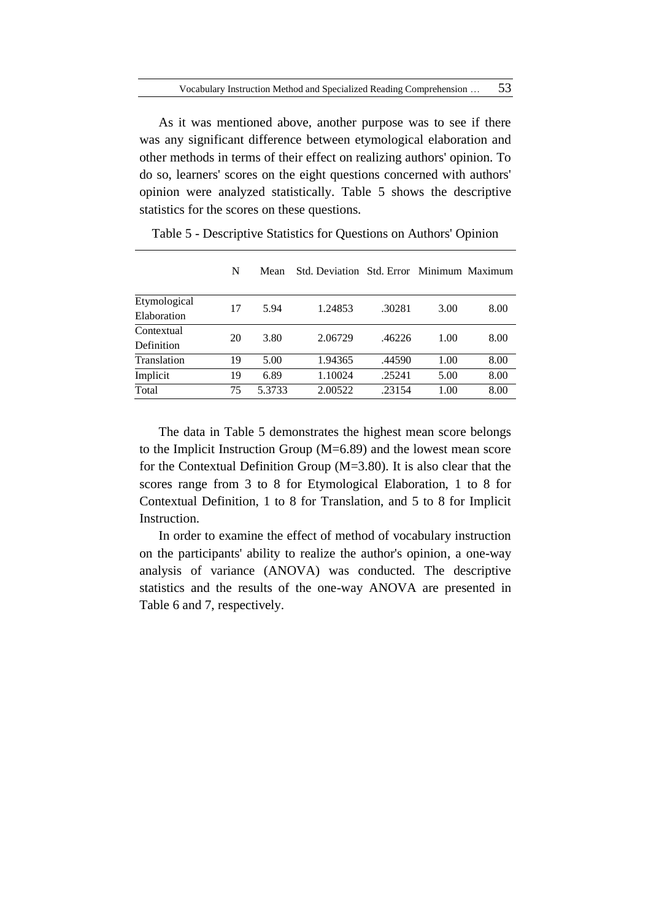As it was mentioned above, another purpose was to see if there was any significant difference between etymological elaboration and other methods in terms of their effect on realizing authors' opinion. To do so, learners' scores on the eight questions concerned with authors' opinion were analyzed statistically. Table 5 shows the descriptive statistics for the scores on these questions.

|              | N  | Mean   | Std. Deviation Std. Error Minimum Maximum |        |      |      |
|--------------|----|--------|-------------------------------------------|--------|------|------|
| Etymological | 17 | 5.94   | 1.24853                                   | .30281 | 3.00 | 8.00 |
| Elaboration  |    |        |                                           |        |      |      |
| Contextual   | 20 | 3.80   | 2.06729                                   | .46226 | 1.00 | 8.00 |
| Definition   |    |        |                                           |        |      |      |
| Translation  | 19 | 5.00   | 1.94365                                   | .44590 | 1.00 | 8.00 |
| Implicit     | 19 | 6.89   | 1.10024                                   | .25241 | 5.00 | 8.00 |
| Total        | 75 | 5.3733 | 2.00522                                   | .23154 | 1.00 | 8.00 |

Table 5 - Descriptive Statistics for Questions on Authors' Opinion

The data in Table 5 demonstrates the highest mean score belongs to the Implicit Instruction Group (M=6.89) and the lowest mean score for the Contextual Definition Group (M=3.80). It is also clear that the scores range from 3 to 8 for Etymological Elaboration, 1 to 8 for Contextual Definition, 1 to 8 for Translation, and 5 to 8 for Implicit Instruction.

In order to examine the effect of method of vocabulary instruction on the participants' ability to realize the author's opinion, a one-way analysis of variance (ANOVA) was conducted. The descriptive statistics and the results of the one-way ANOVA are presented in Table 6 and 7, respectively.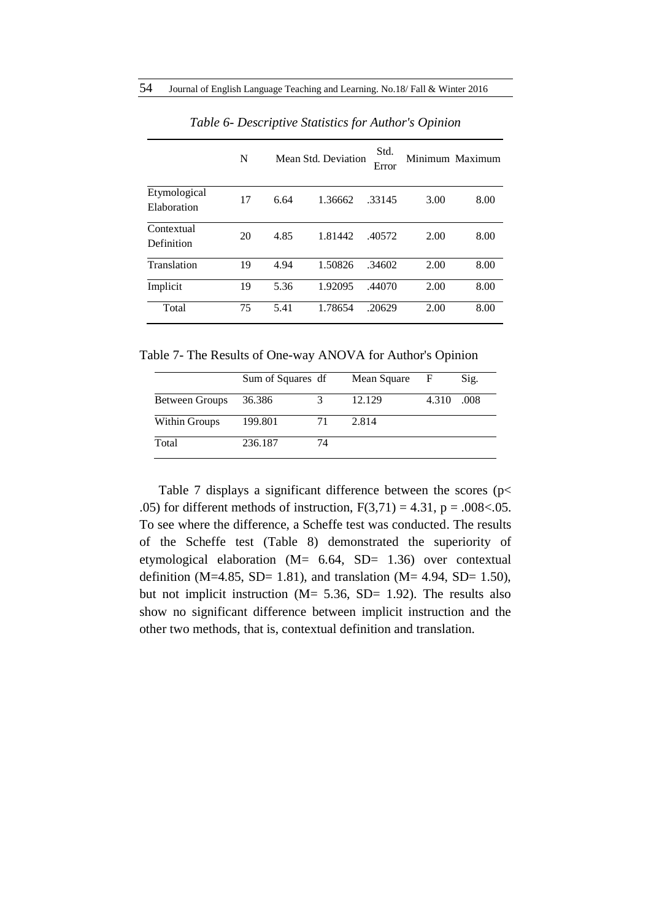|                             | N  |      | Mean Std. Deviation | Std.<br>Error |      | Minimum Maximum |
|-----------------------------|----|------|---------------------|---------------|------|-----------------|
| Etymological<br>Elaboration | 17 | 6.64 | 1.36662             | 33145         | 3.00 | 8.00            |
| Contextual<br>Definition    | 20 | 4.85 | 1.81442             | .40572        | 2.00 | 8.00            |
| Translation                 | 19 | 4.94 | 1.50826             | .34602        | 2.00 | 8.00            |
| Implicit                    | 19 | 5.36 | 1.92095             | .44070        | 2.00 | 8.00            |
| Total                       | 75 | 5.41 | 1.78654             | .20629        | 2.00 | 8.00            |

*Table 6- Descriptive Statistics for Author's Opinion*

Table 7- The Results of One-way ANOVA for Author's Opinion

|                | Sum of Squares df |    | Mean Square | F     | Sig. |
|----------------|-------------------|----|-------------|-------|------|
| Between Groups | 36.386            |    | 12.129      | 4.310 | .008 |
| Within Groups  | 199.801           | 71 | 2.814       |       |      |
| Total          | 236.187           | 74 |             |       |      |

Table 7 displays a significant difference between the scores ( $p$  < .05) for different methods of instruction,  $F(3,71) = 4.31$ ,  $p = .008 < .05$ . To see where the difference, a Scheffe test was conducted. The results of the Scheffe test (Table 8) demonstrated the superiority of etymological elaboration (M= 6.64, SD= 1.36) over contextual definition (M=4.85, SD= 1.81), and translation (M= 4.94, SD= 1.50), but not implicit instruction ( $M = 5.36$ ,  $SD = 1.92$ ). The results also show no significant difference between implicit instruction and the other two methods, that is, contextual definition and translation.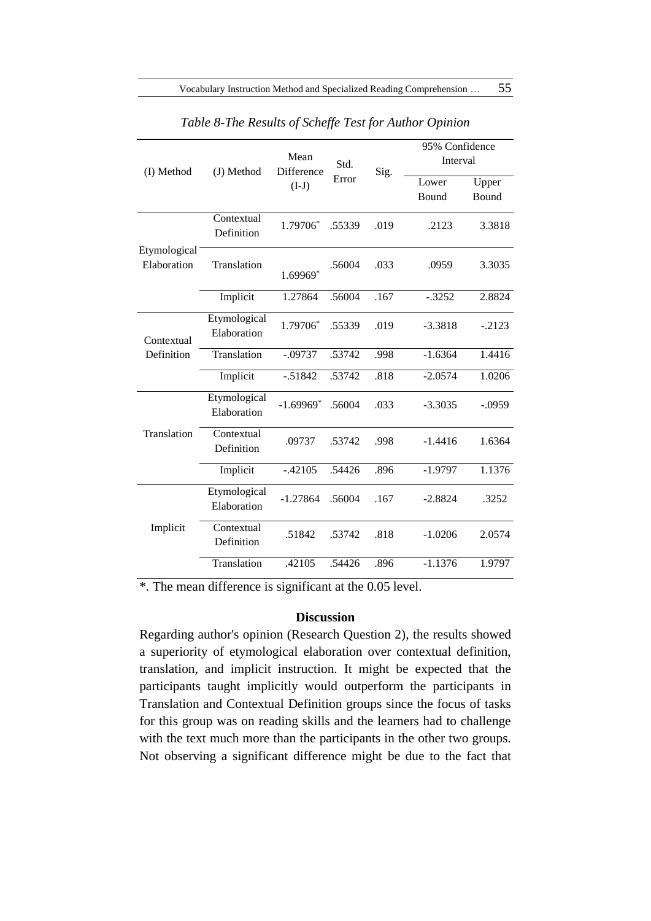| (I) Method                  | (J) Method                  | Mean<br>Difference      | Std.   | Sig. | 95% Confidence<br>Interval |                |
|-----------------------------|-----------------------------|-------------------------|--------|------|----------------------------|----------------|
|                             |                             | $(I-J)$                 | Error  |      | Lower<br>Bound             | Upper<br>Bound |
|                             | Contextual<br>Definition    | 1.79706*                | .55339 | .019 | .2123                      | 3.3818         |
| Etymological<br>Elaboration | Translation                 | 1.69969*                | .56004 | .033 | .0959                      | 3.3035         |
|                             | Implicit                    | 1.27864                 | .56004 | .167 | $-.3252$                   | 2.8824         |
| Contextual<br>Definition    | Etymological<br>Elaboration | 1.79706*                | .55339 | .019 | $-3.3818$                  | $-.2123$       |
|                             | Translation                 | $-.09737$               | .53742 | .998 | $-1.6364$                  | 1.4416         |
|                             | Implicit                    | $-.51842$               | .53742 | .818 | $-2.0574$                  | 1.0206         |
| Translation                 | Etymological<br>Elaboration | $-1.69969$ <sup>*</sup> | .56004 | .033 | $-3.3035$                  | $-.0959$       |
|                             | Contextual<br>Definition    | .09737                  | .53742 | .998 | $-1.4416$                  | 1.6364         |
|                             | Implicit                    | $-.42105$               | .54426 | .896 | $-1.9797$                  | 1.1376         |
| Implicit                    | Etymological<br>Elaboration | $-1.27864$              | .56004 | .167 | $-2.8824$                  | .3252          |
|                             | Contextual<br>Definition    | .51842                  | .53742 | .818 | $-1.0206$                  | 2.0574         |
|                             | Translation                 | .42105                  | .54426 | .896 | $-1.1376$                  | 1.9797         |

*Table 8-The Results of Scheffe Test for Author Opinion*

\*. The mean difference is significant at the 0.05 level.

# **Discussion**

Regarding author's opinion (Research Question 2), the results showed a superiority of etymological elaboration over contextual definition, translation, and implicit instruction. It might be expected that the participants taught implicitly would outperform the participants in Translation and Contextual Definition groups since the focus of tasks for this group was on reading skills and the learners had to challenge with the text much more than the participants in the other two groups. Not observing a significant difference might be due to the fact that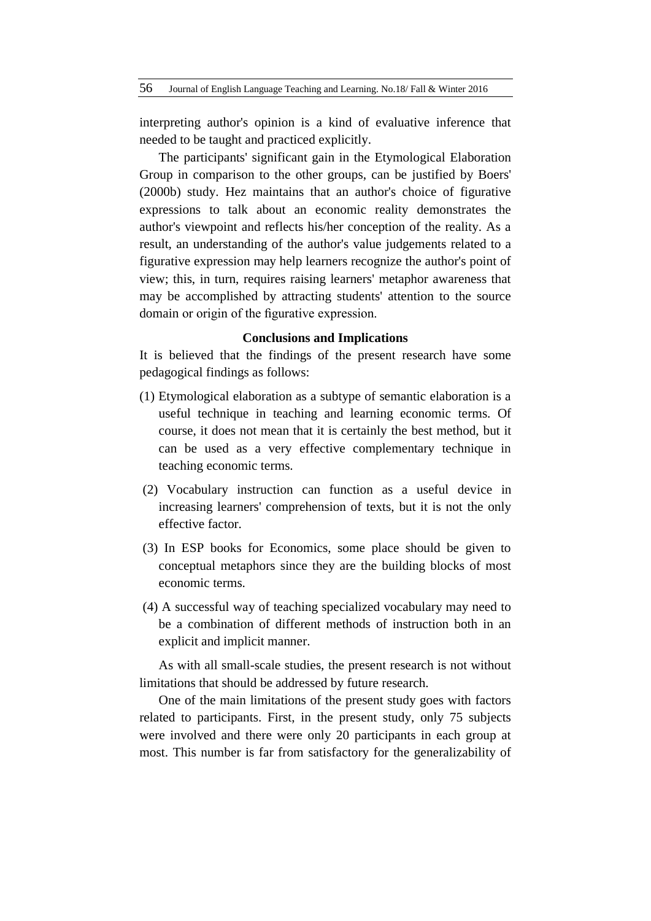interpreting author's opinion is a kind of evaluative inference that needed to be taught and practiced explicitly.

The participants' significant gain in the Etymological Elaboration Group in comparison to the other groups, can be justified by Boers' (2000b) study. Hez maintains that an author's choice of figurative expressions to talk about an economic reality demonstrates the author's viewpoint and reflects his/her conception of the reality. As a result, an understanding of the author's value judgements related to a figurative expression may help learners recognize the author's point of view; this, in turn, requires raising learners' metaphor awareness that may be accomplished by attracting students' attention to the source domain or origin of the figurative expression.

#### **Conclusions and Implications**

It is believed that the findings of the present research have some pedagogical findings as follows:

- (1) Etymological elaboration as a subtype of semantic elaboration is a useful technique in teaching and learning economic terms. Of course, it does not mean that it is certainly the best method, but it can be used as a very effective complementary technique in teaching economic terms.
- (2) Vocabulary instruction can function as a useful device in increasing learners' comprehension of texts, but it is not the only effective factor.
- (3) In ESP books for Economics, some place should be given to conceptual metaphors since they are the building blocks of most economic terms.
- (4) A successful way of teaching specialized vocabulary may need to be a combination of different methods of instruction both in an explicit and implicit manner.

As with all small-scale studies, the present research is not without limitations that should be addressed by future research.

One of the main limitations of the present study goes with factors related to participants. First, in the present study, only 75 subjects were involved and there were only 20 participants in each group at most. This number is far from satisfactory for the generalizability of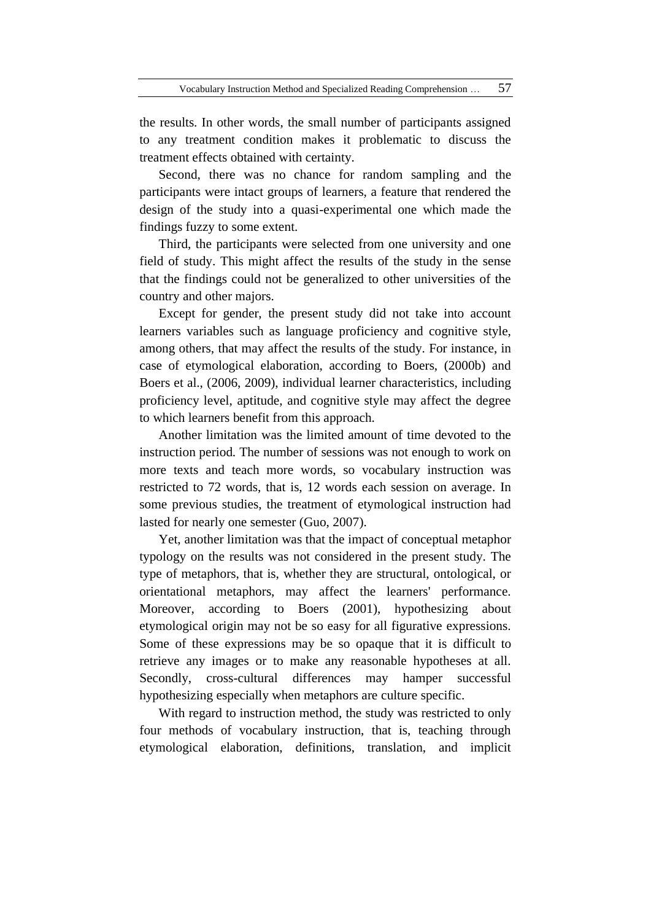the results. In other words, the small number of participants assigned to any treatment condition makes it problematic to discuss the treatment effects obtained with certainty.

Second, there was no chance for random sampling and the participants were intact groups of learners, a feature that rendered the design of the study into a quasi-experimental one which made the findings fuzzy to some extent.

Third, the participants were selected from one university and one field of study. This might affect the results of the study in the sense that the findings could not be generalized to other universities of the country and other majors.

Except for gender, the present study did not take into account learners variables such as language proficiency and cognitive style, among others, that may affect the results of the study. For instance, in case of etymological elaboration, according to Boers, (2000b) and Boers et al., (2006, 2009), individual learner characteristics, including proficiency level, aptitude, and cognitive style may affect the degree to which learners benefit from this approach.

Another limitation was the limited amount of time devoted to the instruction period. The number of sessions was not enough to work on more texts and teach more words, so vocabulary instruction was restricted to 72 words, that is, 12 words each session on average. In some previous studies, the treatment of etymological instruction had lasted for nearly one semester (Guo, 2007).

Yet, another limitation was that the impact of conceptual metaphor typology on the results was not considered in the present study. The type of metaphors, that is, whether they are structural, ontological, or orientational metaphors, may affect the learners' performance. Moreover, according to Boers (2001), hypothesizing about etymological origin may not be so easy for all figurative expressions. Some of these expressions may be so opaque that it is difficult to retrieve any images or to make any reasonable hypotheses at all. Secondly, cross-cultural differences may hamper successful hypothesizing especially when metaphors are culture specific.

With regard to instruction method, the study was restricted to only four methods of vocabulary instruction, that is, teaching through etymological elaboration, definitions, translation, and implicit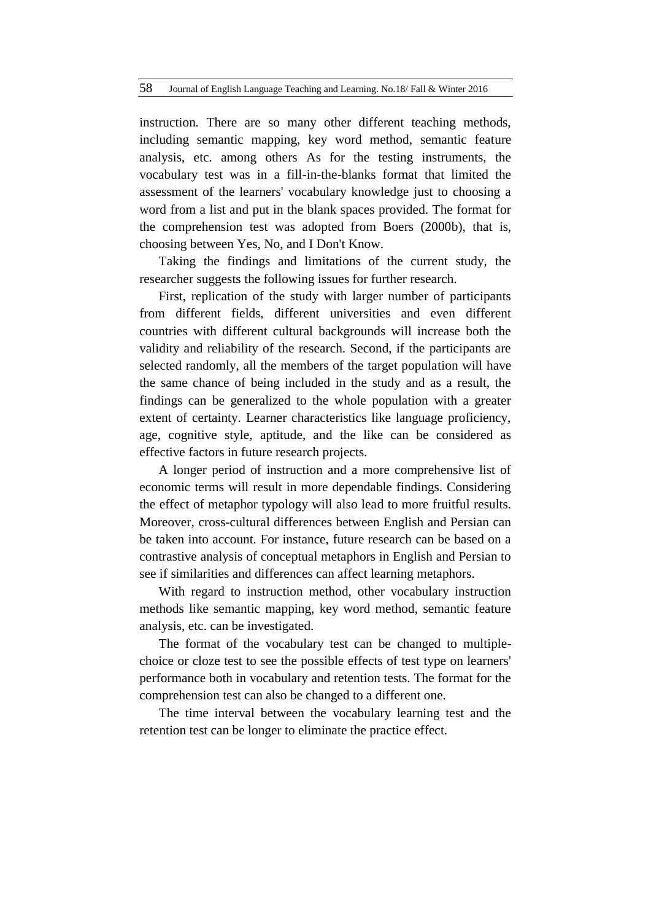instruction. There are so many other different teaching methods, including semantic mapping, key word method, semantic feature analysis, etc. among others As for the testing instruments, the vocabulary test was in a fill-in-the-blanks format that limited the assessment of the learners' vocabulary knowledge just to choosing a word from a list and put in the blank spaces provided. The format for the comprehension test was adopted from Boers (2000b), that is, choosing between Yes, No, and I Don't Know.

Taking the findings and limitations of the current study, the researcher suggests the following issues for further research.

First, replication of the study with larger number of participants from different fields, different universities and even different countries with different cultural backgrounds will increase both the validity and reliability of the research. Second, if the participants are selected randomly, all the members of the target population will have the same chance of being included in the study and as a result, the findings can be generalized to the whole population with a greater extent of certainty. Learner characteristics like language proficiency, age, cognitive style, aptitude, and the like can be considered as effective factors in future research projects.

A longer period of instruction and a more comprehensive list of economic terms will result in more dependable findings. Considering the effect of metaphor typology will also lead to more fruitful results. Moreover, cross-cultural differences between English and Persian can be taken into account. For instance, future research can be based on a contrastive analysis of conceptual metaphors in English and Persian to see if similarities and differences can affect learning metaphors.

With regard to instruction method, other vocabulary instruction methods like semantic mapping, key word method, semantic feature analysis, etc. can be investigated.

The format of the vocabulary test can be changed to multiplechoice or cloze test to see the possible effects of test type on learners' performance both in vocabulary and retention tests. The format for the comprehension test can also be changed to a different one.

The time interval between the vocabulary learning test and the retention test can be longer to eliminate the practice effect.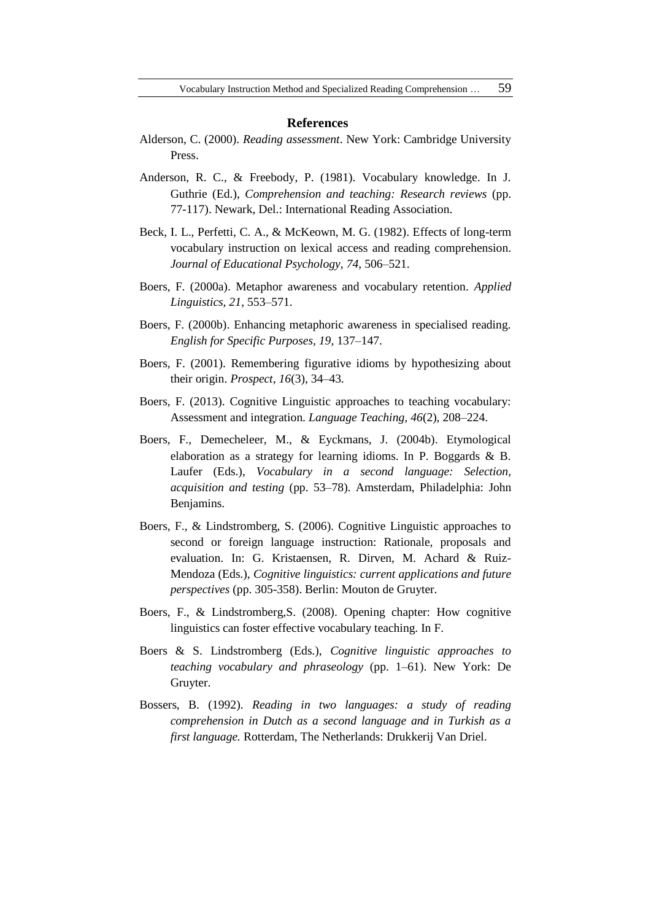#### **References**

- Alderson, C. (2000). *Reading assessment*. New York: Cambridge University Press.
- Anderson, R. C., & Freebody, P. (1981). Vocabulary knowledge. In J. Guthrie (Ed.), *Comprehension and teaching: Research reviews* (pp. 77-117). Newark, Del.: International Reading Association.
- Beck, I. L., Perfetti, C. A., & McKeown, M. G. (1982). Effects of long-term vocabulary instruction on lexical access and reading comprehension. *Journal of Educational Psychology*, *74*, 506–521.
- Boers, F. (2000a). Metaphor awareness and vocabulary retention. *Applied Linguistics, 21*, 553–571.
- Boers, F. (2000b). Enhancing metaphoric awareness in specialised reading. *English for Specific Purposes, 19,* 137–147.
- Boers, F. (2001). Remembering figurative idioms by hypothesizing about their origin. *Prospect, 16*(3), 34–43.
- Boers, F. (2013). Cognitive Linguistic approaches to teaching vocabulary: Assessment and integration. *Language Teaching, 46*(2), 208–224.
- Boers, F., Demecheleer, M., & Eyckmans, J. (2004b). Etymological elaboration as a strategy for learning idioms. In P. Boggards & B. Laufer (Eds.), *Vocabulary in a second language: Selection, acquisition and testing* (pp. 53–78). Amsterdam, Philadelphia: John Benjamins.
- Boers, F., & Lindstromberg, S. (2006). Cognitive Linguistic approaches to second or foreign language instruction: Rationale, proposals and evaluation. In: G. Kristaensen, R. Dirven, M. Achard & Ruiz-Mendoza (Eds.), *Cognitive linguistics: current applications and future perspectives* (pp. 305-358). Berlin: Mouton de Gruyter.
- Boers, F., & Lindstromberg,S. (2008). Opening chapter: How cognitive linguistics can foster effective vocabulary teaching. In F.
- Boers & S. Lindstromberg (Eds.), *Cognitive linguistic approaches to teaching vocabulary and phraseology* (pp. 1–61). New York: De Gruyter.
- Bossers, B. (1992). *Reading in two languages: a study of reading comprehension in Dutch as a second language and in Turkish as a first language.* Rotterdam, The Netherlands: Drukkerij Van Driel.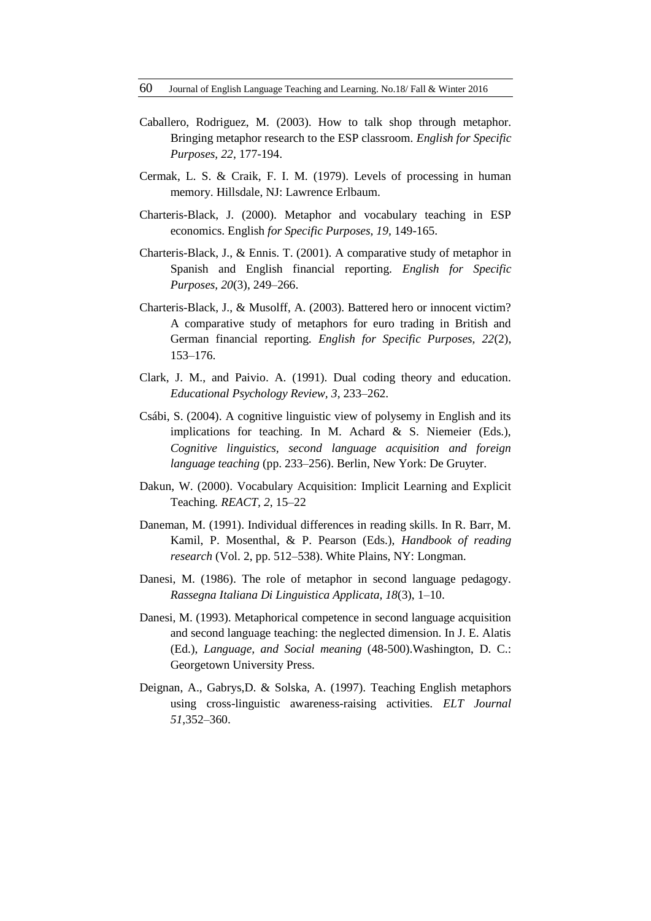- Caballero, Rodriguez, M. (2003). How to talk shop through metaphor. Bringing metaphor research to the ESP classroom. *English for Specific Purposes, 22*, 177-194.
- Cermak, L. S. & Craik, F. I. M. (1979). Levels of processing in human memory. Hillsdale, NJ: Lawrence Erlbaum.
- Charteris-Black, J. (2000). Metaphor and vocabulary teaching in ESP economics. English *for Specific Purposes, 19,* 149-165.
- Charteris-Black, J., & Ennis. T. (2001). A comparative study of metaphor in Spanish and English financial reporting. *English for Specific Purposes, 20*(3), 249–266.
- Charteris-Black, J., & Musolff, A. (2003). Battered hero or innocent victim? A comparative study of metaphors for euro trading in British and German financial reporting. *English for Specific Purposes, 22*(2), 153–176.
- Clark, J. M., and Paivio. A. (1991). Dual coding theory and education. *Educational Psychology Review, 3*, 233–262.
- Csábi, S. (2004). A cognitive linguistic view of polysemy in English and its implications for teaching. In M. Achard & S. Niemeier (Eds.), *Cognitive linguistics, second language acquisition and foreign language teaching* (pp. 233–256). Berlin, New York: De Gruyter.
- Dakun, W. (2000). Vocabulary Acquisition: Implicit Learning and Explicit Teaching*. REACT, 2*, 15–22
- Daneman, M. (1991). Individual differences in reading skills. In R. Barr, M. Kamil, P. Mosenthal, & P. Pearson (Eds.), *Handbook of reading research* (Vol. 2, pp. 512–538). White Plains, NY: Longman.
- Danesi, M. (1986). The role of metaphor in second language pedagogy. *Rassegna Italiana Di Linguistica Applicata, 18*(3), 1–10.
- Danesi, M. (1993). Metaphorical competence in second language acquisition and second language teaching: the neglected dimension. In J. E. Alatis (Ed.), *Language, and Social meaning* (48-500).Washington, D. C.: Georgetown University Press.
- Deignan, A., Gabrys,D. & Solska, A. (1997). Teaching English metaphors using cross-linguistic awareness-raising activities. *ELT Journal 51*,352–360.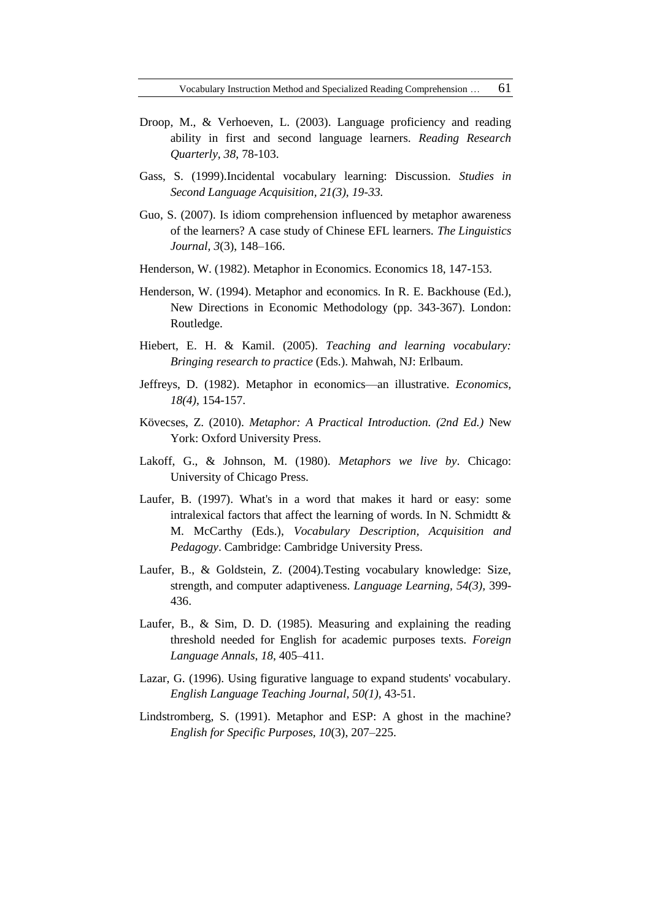- Droop, M., & Verhoeven, L. (2003). Language proficiency and reading ability in first and second language learners. *Reading Research Quarterly, 38*, 78-103.
- Gass, S. (1999).Incidental vocabulary learning: Discussion. *Studies in Second Language Acquisition, 21(3), 19-33.*
- Guo, S. (2007). Is idiom comprehension influenced by metaphor awareness of the learners? A case study of Chinese EFL learners. *The Linguistics Journal, 3*(3), 148–166.
- Henderson, W. (1982). Metaphor in Economics. Economics 18, 147-153.
- Henderson, W. (1994). Metaphor and economics. In R. E. Backhouse (Ed.), New Directions in Economic Methodology (pp. 343-367). London: Routledge.
- Hiebert, E. H. & Kamil. (2005). *Teaching and learning vocabulary: Bringing research to practice* (Eds.). Mahwah, NJ: Erlbaum.
- Jeffreys, D. (1982). Metaphor in economics—an illustrative. *Economics, 18(4)*, 154-157.
- Kövecses, Z. (2010). *Metaphor: A Practical Introduction. (2nd Ed.)* New York: Oxford University Press.
- Lakoff, G., & Johnson, M. (1980). *Metaphors we live by*. Chicago: University of Chicago Press.
- Laufer, B. (1997). What's in a word that makes it hard or easy: some intralexical factors that affect the learning of words. In N. Schmidtt & M. McCarthy (Eds.), *Vocabulary Description, Acquisition and Pedagogy*. Cambridge: Cambridge University Press.
- Laufer, B., & Goldstein, Z. (2004).Testing vocabulary knowledge: Size, strength, and computer adaptiveness. *Language Learning, 54(3),* 399- 436.
- Laufer, B., & Sim, D. D. (1985). Measuring and explaining the reading threshold needed for English for academic purposes texts. *Foreign Language Annals*, *18*, 405–411.
- Lazar, G. (1996). Using figurative language to expand students' vocabulary*. English Language Teaching Journal, 50(1),* 43-51.
- Lindstromberg, S. (1991). Metaphor and ESP: A ghost in the machine? *English for Specific Purposes, 10*(3), 207–225.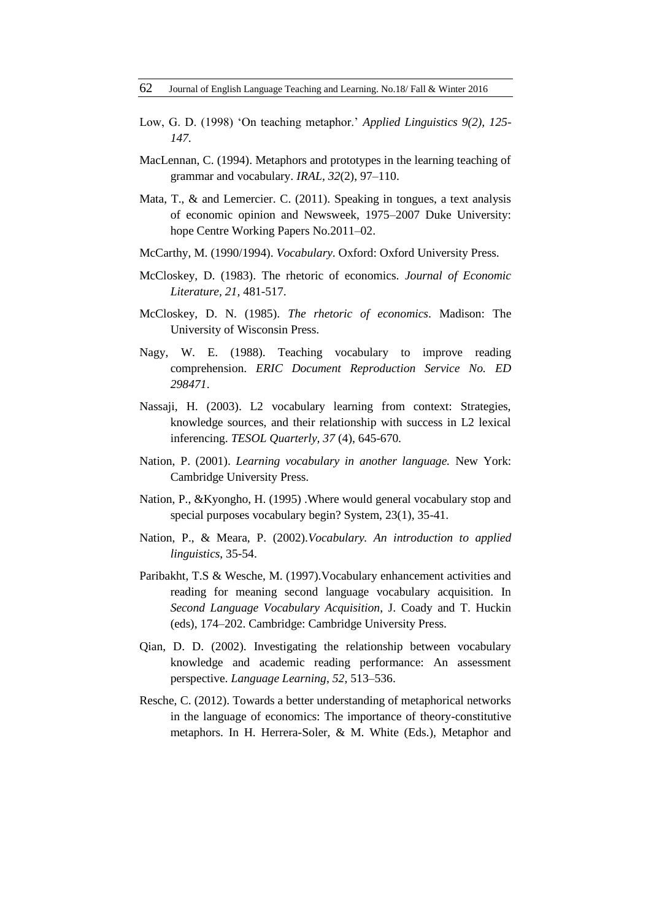- Low, G. D. (1998) 'On teaching metaphor.' *Applied Linguistics 9(2), 125- 147.*
- MacLennan, C. (1994). Metaphors and prototypes in the learning teaching of grammar and vocabulary. *IRAL, 32*(2), 97–110.
- Mata, T., & and Lemercier. C. (2011). Speaking in tongues, a text analysis of economic opinion and Newsweek, 1975–2007 Duke University: hope Centre Working Papers No.2011–02.
- McCarthy, M. (1990/1994). *Vocabulary*. Oxford: Oxford University Press.
- McCloskey, D. (1983). The rhetoric of economics. *Journal of Economic Literature, 21,* 481-517.
- McCloskey, D. N. (1985). *The rhetoric of economics*. Madison: The University of Wisconsin Press.
- Nagy, W. E. (1988). Teaching vocabulary to improve reading comprehension. *ERIC Document Reproduction Service No. ED 298471*.
- Nassaji, H. (2003). L2 vocabulary learning from context: Strategies, knowledge sources, and their relationship with success in L2 lexical inferencing. *TESOL Quarterly, 37* (4), 645-670.
- Nation, P. (2001). *Learning vocabulary in another language.* New York: Cambridge University Press.
- Nation, P., &Kyongho, H. (1995) .Where would general vocabulary stop and special purposes vocabulary begin? System, 23(1), 35-41.
- Nation, P., & Meara, P. (2002).*Vocabulary. An introduction to applied linguistics*, 35-54.
- Paribakht, T.S & Wesche, M. (1997).Vocabulary enhancement activities and reading for meaning second language vocabulary acquisition. In *Second Language Vocabulary Acquisition*, J. Coady and T. Huckin (eds), 174–202. Cambridge: Cambridge University Press.
- Qian, D. D. (2002). Investigating the relationship between vocabulary knowledge and academic reading performance: An assessment perspective. *Language Learning*, *52*, 513–536.
- Resche, C. (2012). Towards a better understanding of metaphorical networks in the language of economics: The importance of theory-constitutive metaphors. In H. Herrera-Soler, & M. White (Eds.), Metaphor and